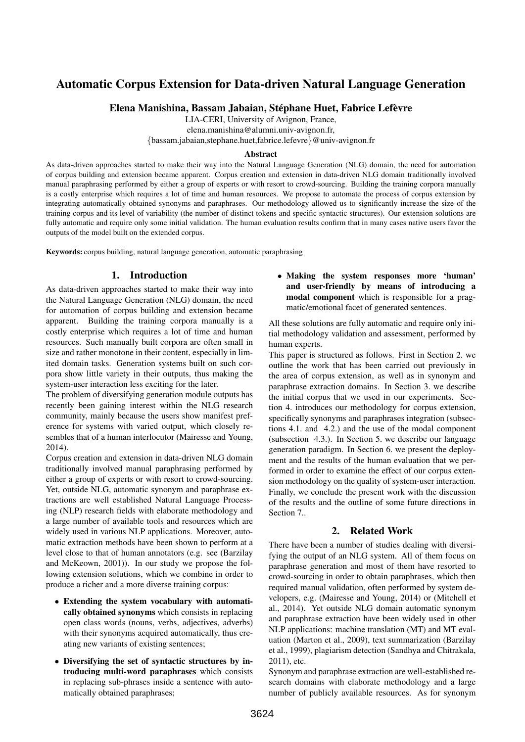# Automatic Corpus Extension for Data-driven Natural Language Generation

Elena Manishina, Bassam Jabaian, Stéphane Huet, Fabrice Lefèvre

LIA-CERI, University of Avignon, France,

elena.manishina@alumni.univ-avignon.fr,

{bassam.jabaian,stephane.huet,fabrice.lefevre}@univ-avignon.fr

#### Abstract

As data-driven approaches started to make their way into the Natural Language Generation (NLG) domain, the need for automation of corpus building and extension became apparent. Corpus creation and extension in data-driven NLG domain traditionally involved manual paraphrasing performed by either a group of experts or with resort to crowd-sourcing. Building the training corpora manually is a costly enterprise which requires a lot of time and human resources. We propose to automate the process of corpus extension by integrating automatically obtained synonyms and paraphrases. Our methodology allowed us to significantly increase the size of the training corpus and its level of variability (the number of distinct tokens and specific syntactic structures). Our extension solutions are fully automatic and require only some initial validation. The human evaluation results confirm that in many cases native users favor the outputs of the model built on the extended corpus.

Keywords: corpus building, natural language generation, automatic paraphrasing

### 1. Introduction

As data-driven approaches started to make their way into the Natural Language Generation (NLG) domain, the need for automation of corpus building and extension became apparent. Building the training corpora manually is a costly enterprise which requires a lot of time and human resources. Such manually built corpora are often small in size and rather monotone in their content, especially in limited domain tasks. Generation systems built on such corpora show little variety in their outputs, thus making the system-user interaction less exciting for the later.

The problem of diversifying generation module outputs has recently been gaining interest within the NLG research community, mainly because the users show manifest preference for systems with varied output, which closely resembles that of a human interlocutor (Mairesse and Young, 2014).

Corpus creation and extension in data-driven NLG domain traditionally involved manual paraphrasing performed by either a group of experts or with resort to crowd-sourcing. Yet, outside NLG, automatic synonym and paraphrase extractions are well established Natural Language Processing (NLP) research fields with elaborate methodology and a large number of available tools and resources which are widely used in various NLP applications. Moreover, automatic extraction methods have been shown to perform at a level close to that of human annotators (e.g. see (Barzilay and McKeown, 2001)). In our study we propose the following extension solutions, which we combine in order to produce a richer and a more diverse training corpus:

- Extending the system vocabulary with automatically obtained synonyms which consists in replacing open class words (nouns, verbs, adjectives, adverbs) with their synonyms acquired automatically, thus creating new variants of existing sentences;
- Diversifying the set of syntactic structures by introducing multi-word paraphrases which consists in replacing sub-phrases inside a sentence with automatically obtained paraphrases;

• Making the system responses more 'human' and user-friendly by means of introducing a modal component which is responsible for a pragmatic/emotional facet of generated sentences.

All these solutions are fully automatic and require only initial methodology validation and assessment, performed by human experts.

This paper is structured as follows. First in Section 2. we outline the work that has been carried out previously in the area of corpus extension, as well as in synonym and paraphrase extraction domains. In Section 3. we describe the initial corpus that we used in our experiments. Section 4. introduces our methodology for corpus extension, specifically synonyms and paraphrases integration (subsections 4.1. and 4.2.) and the use of the modal component (subsection 4.3.). In Section 5. we describe our language generation paradigm. In Section 6. we present the deployment and the results of the human evaluation that we performed in order to examine the effect of our corpus extension methodology on the quality of system-user interaction. Finally, we conclude the present work with the discussion of the results and the outline of some future directions in Section 7..

### 2. Related Work

There have been a number of studies dealing with diversifying the output of an NLG system. All of them focus on paraphrase generation and most of them have resorted to crowd-sourcing in order to obtain paraphrases, which then required manual validation, often performed by system developers, e.g. (Mairesse and Young, 2014) or (Mitchell et al., 2014). Yet outside NLG domain automatic synonym and paraphrase extraction have been widely used in other NLP applications: machine translation (MT) and MT evaluation (Marton et al., 2009), text summarization (Barzilay et al., 1999), plagiarism detection (Sandhya and Chitrakala, 2011), etc.

Synonym and paraphrase extraction are well-established research domains with elaborate methodology and a large number of publicly available resources. As for synonym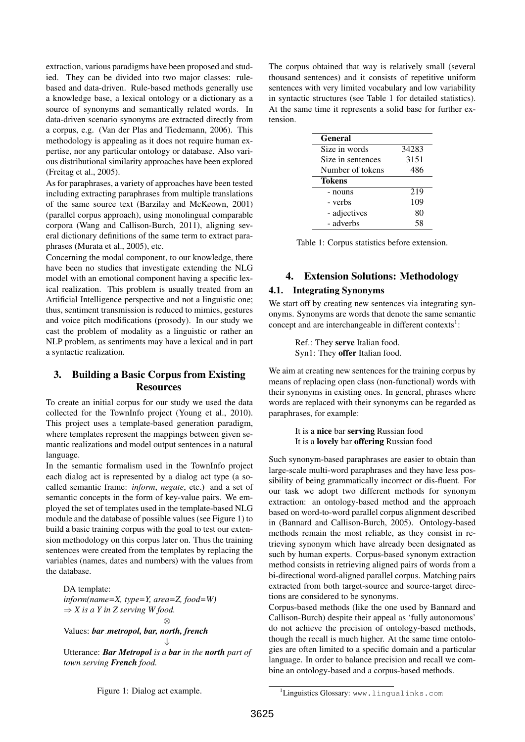extraction, various paradigms have been proposed and studied. They can be divided into two major classes: rulebased and data-driven. Rule-based methods generally use a knowledge base, a lexical ontology or a dictionary as a source of synonyms and semantically related words. In data-driven scenario synonyms are extracted directly from a corpus, e.g. (Van der Plas and Tiedemann, 2006). This methodology is appealing as it does not require human expertise, nor any particular ontology or database. Also various distributional similarity approaches have been explored (Freitag et al., 2005).

As for paraphrases, a variety of approaches have been tested including extracting paraphrases from multiple translations of the same source text (Barzilay and McKeown, 2001) (parallel corpus approach), using monolingual comparable corpora (Wang and Callison-Burch, 2011), aligning several dictionary definitions of the same term to extract paraphrases (Murata et al., 2005), etc.

Concerning the modal component, to our knowledge, there have been no studies that investigate extending the NLG model with an emotional component having a specific lexical realization. This problem is usually treated from an Artificial Intelligence perspective and not a linguistic one; thus, sentiment transmission is reduced to mimics, gestures and voice pitch modifications (prosody). In our study we cast the problem of modality as a linguistic or rather an NLP problem, as sentiments may have a lexical and in part a syntactic realization.

## 3. Building a Basic Corpus from Existing **Resources**

To create an initial corpus for our study we used the data collected for the TownInfo project (Young et al., 2010). This project uses a template-based generation paradigm, where templates represent the mappings between given semantic realizations and model output sentences in a natural language.

In the semantic formalism used in the TownInfo project each dialog act is represented by a dialog act type (a socalled semantic frame: *inform*, *negate*, etc.) and a set of semantic concepts in the form of key-value pairs. We employed the set of templates used in the template-based NLG module and the database of possible values (see Figure 1) to build a basic training corpus with the goal to test our extension methodology on this corpus later on. Thus the training sentences were created from the templates by replacing the variables (names, dates and numbers) with the values from the database.

DA template:

*inform(name=X, type=Y, area=Z, food=W)*  $\Rightarrow$  *X* is a *Y* in *Z* serving *W* food. ⊗

Values: *bar metropol, bar, north, french*

Utterance: *Bar Metropol is a bar in the north part of town serving French food.*

⇓

The corpus obtained that way is relatively small (several thousand sentences) and it consists of repetitive uniform sentences with very limited vocabulary and low variability in syntactic structures (see Table 1 for detailed statistics). At the same time it represents a solid base for further extension.

| General           |       |
|-------------------|-------|
| Size in words     | 34283 |
| Size in sentences | 3151  |
| Number of tokens  | 486   |
| Tokens            |       |
| - nouns           | 219   |
| - verbs           | 109   |
| - adjectives      | 80    |
| - adverbs         | 58    |

Table 1: Corpus statistics before extension.

### 4. Extension Solutions: Methodology

### 4.1. Integrating Synonyms

We start off by creating new sentences via integrating synonyms. Synonyms are words that denote the same semantic concept and are interchangeable in different contexts<sup>1</sup>:

> Ref.: They serve Italian food. Syn1: They offer Italian food.

We aim at creating new sentences for the training corpus by means of replacing open class (non-functional) words with their synonyms in existing ones. In general, phrases where words are replaced with their synonyms can be regarded as paraphrases, for example:

> It is a nice bar serving Russian food It is a lovely bar offering Russian food

Such synonym-based paraphrases are easier to obtain than large-scale multi-word paraphrases and they have less possibility of being grammatically incorrect or dis-fluent. For our task we adopt two different methods for synonym extraction: an ontology-based method and the approach based on word-to-word parallel corpus alignment described in (Bannard and Callison-Burch, 2005). Ontology-based methods remain the most reliable, as they consist in retrieving synonym which have already been designated as such by human experts. Corpus-based synonym extraction method consists in retrieving aligned pairs of words from a bi-directional word-aligned parallel corpus. Matching pairs extracted from both target-source and source-target directions are considered to be synonyms.

Corpus-based methods (like the one used by Bannard and Callison-Burch) despite their appeal as 'fully autonomous' do not achieve the precision of ontology-based methods, though the recall is much higher. At the same time ontologies are often limited to a specific domain and a particular language. In order to balance precision and recall we combine an ontology-based and a corpus-based methods.

Figure 1: Dialog act example.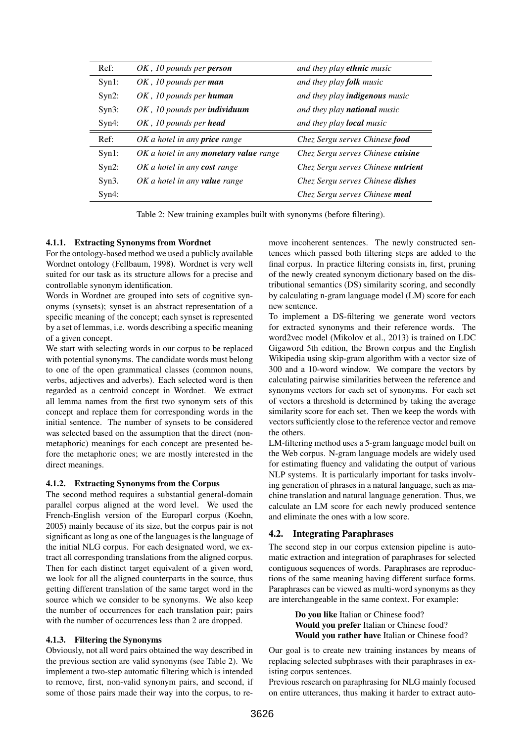| Ref:     | OK, 10 pounds per <b>person</b>        | and they play <b>ethnic</b> music     |
|----------|----------------------------------------|---------------------------------------|
| Syn1:    | OK, 10 pounds per man                  | and they play <b>folk</b> music       |
| $Syn2$ : | OK, 10 pounds per human                | and they play <i>indigenous</i> music |
| Syn3:    | OK, 10 pounds per individuum           | and they play <b>national</b> music   |
| Syn4:    | OK, 10 pounds per head                 | and they play <b>local</b> music      |
| Ref:     | $OK$ a hotel in any <b>price</b> range | Chez Sergu serves Chinese food        |
| Syn1:    | OK a hotel in any monetary value range | Chez Sergu serves Chinese cuisine     |
| $Syn2$ : | OK a hotel in any cost range           | Chez Sergu serves Chinese nutrient    |
| Syn3.    | OK a hotel in any <b>value</b> range   | Chez Sergu serves Chinese dishes      |
| Syn4:    |                                        | Chez Sergu serves Chinese meal        |

Table 2: New training examples built with synonyms (before filtering).

#### 4.1.1. Extracting Synonyms from Wordnet

For the ontology-based method we used a publicly available Wordnet ontology (Fellbaum, 1998). Wordnet is very well suited for our task as its structure allows for a precise and controllable synonym identification.

Words in Wordnet are grouped into sets of cognitive synonyms (synsets); synset is an abstract representation of a specific meaning of the concept; each synset is represented by a set of lemmas, i.e. words describing a specific meaning of a given concept.

We start with selecting words in our corpus to be replaced with potential synonyms. The candidate words must belong to one of the open grammatical classes (common nouns, verbs, adjectives and adverbs). Each selected word is then regarded as a centroid concept in Wordnet. We extract all lemma names from the first two synonym sets of this concept and replace them for corresponding words in the initial sentence. The number of synsets to be considered was selected based on the assumption that the direct (nonmetaphoric) meanings for each concept are presented before the metaphoric ones; we are mostly interested in the direct meanings.

#### 4.1.2. Extracting Synonyms from the Corpus

The second method requires a substantial general-domain parallel corpus aligned at the word level. We used the French-English version of the Europarl corpus (Koehn, 2005) mainly because of its size, but the corpus pair is not significant as long as one of the languages is the language of the initial NLG corpus. For each designated word, we extract all corresponding translations from the aligned corpus. Then for each distinct target equivalent of a given word, we look for all the aligned counterparts in the source, thus getting different translation of the same target word in the source which we consider to be synonyms. We also keep the number of occurrences for each translation pair; pairs with the number of occurrences less than 2 are dropped.

#### 4.1.3. Filtering the Synonyms

Obviously, not all word pairs obtained the way described in the previous section are valid synonyms (see Table 2). We implement a two-step automatic filtering which is intended to remove, first, non-valid synonym pairs, and second, if some of those pairs made their way into the corpus, to remove incoherent sentences. The newly constructed sentences which passed both filtering steps are added to the final corpus. In practice filtering consists in, first, pruning of the newly created synonym dictionary based on the distributional semantics (DS) similarity scoring, and secondly by calculating n-gram language model (LM) score for each new sentence.

To implement a DS-filtering we generate word vectors for extracted synonyms and their reference words. The word2vec model (Mikolov et al., 2013) is trained on LDC Gigaword 5th edition, the Brown corpus and the English Wikipedia using skip-gram algorithm with a vector size of 300 and a 10-word window. We compare the vectors by calculating pairwise similarities between the reference and synonyms vectors for each set of synonyms. For each set of vectors a threshold is determined by taking the average similarity score for each set. Then we keep the words with vectors sufficiently close to the reference vector and remove the others.

LM-filtering method uses a 5-gram language model built on the Web corpus. N-gram language models are widely used for estimating fluency and validating the output of various NLP systems. It is particularly important for tasks involving generation of phrases in a natural language, such as machine translation and natural language generation. Thus, we calculate an LM score for each newly produced sentence and eliminate the ones with a low score.

#### 4.2. Integrating Paraphrases

The second step in our corpus extension pipeline is automatic extraction and integration of paraphrases for selected contiguous sequences of words. Paraphrases are reproductions of the same meaning having different surface forms. Paraphrases can be viewed as multi-word synonyms as they are interchangeable in the same context. For example:

> Do you like Italian or Chinese food? Would you prefer Italian or Chinese food? Would you rather have Italian or Chinese food?

Our goal is to create new training instances by means of replacing selected subphrases with their paraphrases in existing corpus sentences.

Previous research on paraphrasing for NLG mainly focused on entire utterances, thus making it harder to extract auto-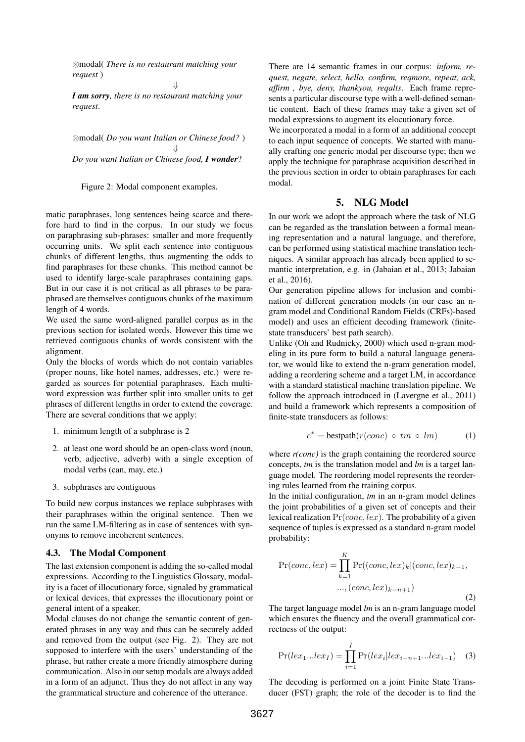⊗modal( *There is no restaurant matching your request* )

*I am sorry, there is no restaurant matching your request*.

⇓

⊗modal( *Do you want Italian or Chinese food?* ) ⇓ *Do you want Italian or Chinese food, I wonder*?

Figure 2: Modal component examples.

matic paraphrases, long sentences being scarce and therefore hard to find in the corpus. In our study we focus on paraphrasing sub-phrases: smaller and more frequently occurring units. We split each sentence into contiguous chunks of different lengths, thus augmenting the odds to find paraphrases for these chunks. This method cannot be used to identify large-scale paraphrases containing gaps. But in our case it is not critical as all phrases to be paraphrased are themselves contiguous chunks of the maximum length of 4 words.

We used the same word-aligned parallel corpus as in the previous section for isolated words. However this time we retrieved contiguous chunks of words consistent with the alignment.

Only the blocks of words which do not contain variables (proper nouns, like hotel names, addresses, etc.) were regarded as sources for potential paraphrases. Each multiword expression was further split into smaller units to get phrases of different lengths in order to extend the coverage. There are several conditions that we apply:

- 1. minimum length of a subphrase is 2
- 2. at least one word should be an open-class word (noun, verb, adjective, adverb) with a single exception of modal verbs (can, may, etc.)
- 3. subphrases are contiguous

To build new corpus instances we replace subphrases with their paraphrases within the original sentence. Then we run the same LM-filtering as in case of sentences with synonyms to remove incoherent sentences.

#### 4.3. The Modal Component

The last extension component is adding the so-called modal expressions. According to the Linguistics Glossary, modality is a facet of illocutionary force, signaled by grammatical or lexical devices, that expresses the illocutionary point or general intent of a speaker.

Modal clauses do not change the semantic content of generated phrases in any way and thus can be securely added and removed from the output (see Fig. 2). They are not supposed to interfere with the users' understanding of the phrase, but rather create a more friendly atmosphere during communication. Also in our setup modals are always added in a form of an adjunct. Thus they do not affect in any way the grammatical structure and coherence of the utterance.

There are 14 semantic frames in our corpus: *inform, request, negate, select, hello, confirm, reqmore, repeat, ack, affirm , bye, deny, thankyou, reqalts*. Each frame represents a particular discourse type with a well-defined semantic content. Each of these frames may take a given set of modal expressions to augment its elocutionary force.

We incorporated a modal in a form of an additional concept to each input sequence of concepts. We started with manually crafting one generic modal per discourse type; then we apply the technique for paraphrase acquisition described in the previous section in order to obtain paraphrases for each modal.

### 5. NLG Model

In our work we adopt the approach where the task of NLG can be regarded as the translation between a formal meaning representation and a natural language, and therefore, can be performed using statistical machine translation techniques. A similar approach has already been applied to semantic interpretation, e.g. in (Jabaian et al., 2013; Jabaian et al., 2016).

Our generation pipeline allows for inclusion and combination of different generation models (in our case an ngram model and Conditional Random Fields (CRFs)-based model) and uses an efficient decoding framework (finitestate transducers' best path search).

Unlike (Oh and Rudnicky, 2000) which used n-gram modeling in its pure form to build a natural language generator, we would like to extend the n-gram generation model, adding a reordering scheme and a target LM, in accordance with a standard statistical machine translation pipeline. We follow the approach introduced in (Lavergne et al., 2011) and build a framework which represents a composition of finite-state transducers as follows:

$$
e^* = \text{bestpath}(r(conc) \circ tm \circ lm) \tag{1}
$$

where  $r(conc)$  is the graph containing the reordered source concepts, *tm* is the translation model and *lm* is a target language model. The reordering model represents the reordering rules learned from the training corpus.

In the initial configuration, *tm* in an n-gram model defines the joint probabilities of a given set of concepts and their lexical realization  $Pr(conc, lex)$ . The probability of a given sequence of tuples is expressed as a standard n-gram model probability:

$$
Pr(conc, lex) = \prod_{k=1}^{K} Pr((conc, lex)_k | (conc, lex)_{k-1},
$$
  
..., (conc, lex)<sub>k-n+1</sub>) (2)

The target language model *lm* is an n-gram language model which ensures the fluency and the overall grammatical correctness of the output:

$$
Pr(lex_1...lex_I) = \prod_{i=1}^{I} Pr(lex_i|lex_{i-n+1}...lex_{i-1})
$$
 (3)

The decoding is performed on a joint Finite State Transducer (FST) graph; the role of the decoder is to find the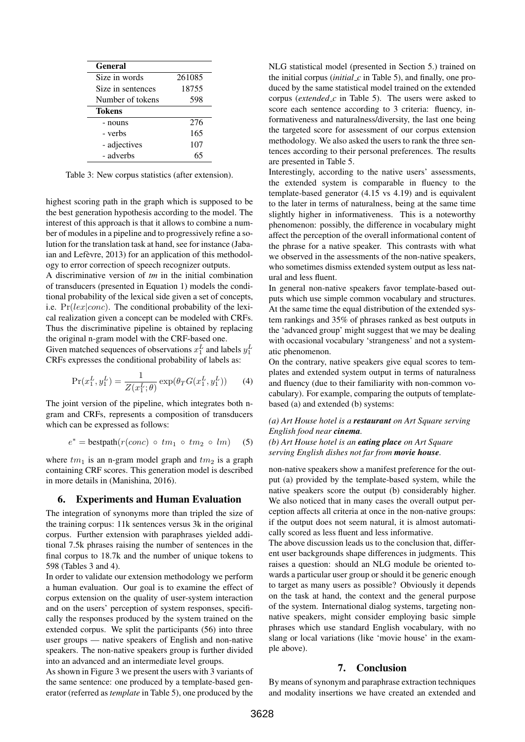| General           |        |
|-------------------|--------|
| Size in words     | 261085 |
| Size in sentences | 18755  |
| Number of tokens  | 598    |
| <b>Tokens</b>     |        |
| - nouns           | 276    |
| - verbs           | 165    |
| - adjectives      | 107    |
| - adverbs         |        |

Table 3: New corpus statistics (after extension).

highest scoring path in the graph which is supposed to be the best generation hypothesis according to the model. The interest of this approach is that it allows to combine a number of modules in a pipeline and to progressively refine a solution for the translation task at hand, see for instance (Jabaian and Lefèvre, 2013) for an application of this methodology to error correction of speech recognizer outputs.

A discriminative version of *tm* in the initial combination of transducers (presented in Equation 1) models the conditional probability of the lexical side given a set of concepts, i.e.  $Pr(lex|cone)$ . The conditional probability of the lexical realization given a concept can be modeled with CRFs. Thus the discriminative pipeline is obtained by replacing the original n-gram model with the CRF-based one.

Given matched sequences of observations  $x_1^L$  and labels  $y_1^L$ CRFs expresses the conditional probability of labels as:

$$
\Pr(x_1^L, y_1^L) = \frac{1}{Z(x_1^L; \theta)} \exp(\theta_T G(x_1^L, y_1^L)) \tag{4}
$$

The joint version of the pipeline, which integrates both ngram and CRFs, represents a composition of transducers which can be expressed as follows:

$$
e^* = \text{bestpath}(r(conc) \circ tm_1 \circ tm_2 \circ lm)
$$
 (5)

where  $tm_1$  is an n-gram model graph and  $tm_2$  is a graph containing CRF scores. This generation model is described in more details in (Manishina, 2016).

#### 6. Experiments and Human Evaluation

The integration of synonyms more than tripled the size of the training corpus: 11k sentences versus 3k in the original corpus. Further extension with paraphrases yielded additional 7.5k phrases raising the number of sentences in the final corpus to 18.7k and the number of unique tokens to 598 (Tables 3 and 4).

In order to validate our extension methodology we perform a human evaluation. Our goal is to examine the effect of corpus extension on the quality of user-system interaction and on the users' perception of system responses, specifically the responses produced by the system trained on the extended corpus. We split the participants (56) into three user groups — native speakers of English and non-native speakers. The non-native speakers group is further divided into an advanced and an intermediate level groups.

As shown in Figure 3 we present the users with 3 variants of the same sentence: one produced by a template-based generator (referred as *template* in Table 5), one produced by the NLG statistical model (presented in Section 5.) trained on the initial corpus (*initial c* in Table 5), and finally, one produced by the same statistical model trained on the extended corpus (*extended\_c* in Table 5). The users were asked to score each sentence according to 3 criteria: fluency, informativeness and naturalness/diversity, the last one being the targeted score for assessment of our corpus extension methodology. We also asked the users to rank the three sentences according to their personal preferences. The results are presented in Table 5.

Interestingly, according to the native users' assessments, the extended system is comparable in fluency to the template-based generator (4.15 vs 4.19) and is equivalent to the later in terms of naturalness, being at the same time slightly higher in informativeness. This is a noteworthy phenomenon: possibly, the difference in vocabulary might affect the perception of the overall informational content of the phrase for a native speaker. This contrasts with what we observed in the assessments of the non-native speakers, who sometimes dismiss extended system output as less natural and less fluent.

In general non-native speakers favor template-based outputs which use simple common vocabulary and structures. At the same time the equal distribution of the extended system rankings and 35% of phrases ranked as best outputs in the 'advanced group' might suggest that we may be dealing with occasional vocabulary 'strangeness' and not a systematic phenomenon.

On the contrary, native speakers give equal scores to templates and extended system output in terms of naturalness and fluency (due to their familiarity with non-common vocabulary). For example, comparing the outputs of templatebased (a) and extended (b) systems:

#### *(a) Art House hotel is a restaurant on Art Square serving English food near cinema.*

*(b) Art House hotel is an eating place on Art Square serving English dishes not far from movie house.*

non-native speakers show a manifest preference for the output (a) provided by the template-based system, while the native speakers score the output (b) considerably higher. We also noticed that in many cases the overall output perception affects all criteria at once in the non-native groups: if the output does not seem natural, it is almost automatically scored as less fluent and less informative.

The above discussion leads us to the conclusion that, different user backgrounds shape differences in judgments. This raises a question: should an NLG module be oriented towards a particular user group or should it be generic enough to target as many users as possible? Obviously it depends on the task at hand, the context and the general purpose of the system. International dialog systems, targeting nonnative speakers, might consider employing basic simple phrases which use standard English vocabulary, with no slang or local variations (like 'movie house' in the example above).

### 7. Conclusion

By means of synonym and paraphrase extraction techniques and modality insertions we have created an extended and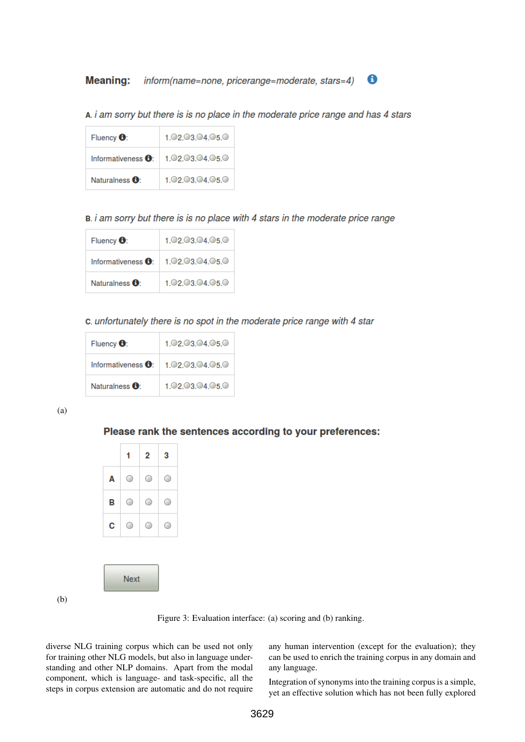**Meaning:** inform(name=none, pricerange=moderate, stars=4)

A. i am sorry but there is is no place in the moderate price range and has 4 stars

| Fluency $\mathbf{\Theta}$ :         | 1.02.03.04.05.0 |
|-------------------------------------|-----------------|
| Informativeness $\mathbf{\Theta}$ : | 1.02.03.04.05.0 |
| Naturalness $\mathbf{\Theta}$ :     | 1.02.03.04.05.0 |

B. i am sorry but there is is no place with 4 stars in the moderate price range

| Fluency $\mathbf{\Theta}$ :     | 1.02.03.04.05.0 |
|---------------------------------|-----------------|
| Informativeness $\Theta$ :      | 1.02.03.04.05.0 |
| Naturalness $\mathbf{\Theta}$ : | 1.02.03.04.05.0 |

c. unfortunately there is no spot in the moderate price range with 4 star

| Fluency $\mathbf{\Theta}$ : | 1.02.03.04.05.0 |  |  |  |
|-----------------------------|-----------------|--|--|--|
| Informativeness <b>0</b> :  | 1.02.03.04.05.0 |  |  |  |
| Naturalness <b>O</b> :      | 1.02.03.04.05.0 |  |  |  |

(a)

## Please rank the sentences according to your preferences:

|   | 1 | 2 | 3 |  |
|---|---|---|---|--|
| Α | О | 0 | O |  |
| В | 0 | 0 | O |  |
| С | O | O | ○ |  |

**Next** 

(b)

Figure 3: Evaluation interface: (a) scoring and (b) ranking.

diverse NLG training corpus which can be used not only for training other NLG models, but also in language understanding and other NLP domains. Apart from the modal component, which is language- and task-specific, all the steps in corpus extension are automatic and do not require any human intervention (except for the evaluation); they can be used to enrich the training corpus in any domain and any language.

0

Integration of synonyms into the training corpus is a simple, yet an effective solution which has not been fully explored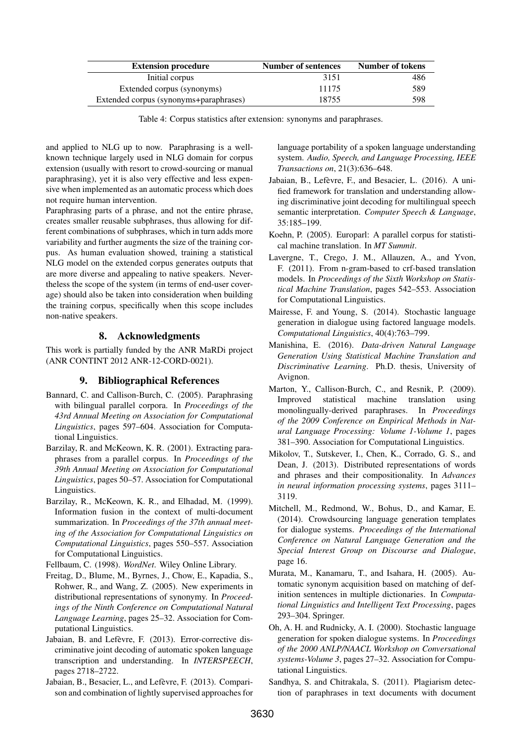| <b>Extension procedure</b>             | <b>Number of sentences</b> | Number of tokens |
|----------------------------------------|----------------------------|------------------|
| Initial corpus                         | 3151                       | 486              |
| Extended corpus (synonyms)             | 11175                      | 589              |
| Extended corpus (synonyms+paraphrases) | 18755                      | 598              |

Table 4: Corpus statistics after extension: synonyms and paraphrases.

and applied to NLG up to now. Paraphrasing is a wellknown technique largely used in NLG domain for corpus extension (usually with resort to crowd-sourcing or manual paraphrasing), yet it is also very effective and less expensive when implemented as an automatic process which does not require human intervention.

Paraphrasing parts of a phrase, and not the entire phrase, creates smaller reusable subphrases, thus allowing for different combinations of subphrases, which in turn adds more variability and further augments the size of the training corpus. As human evaluation showed, training a statistical NLG model on the extended corpus generates outputs that are more diverse and appealing to native speakers. Nevertheless the scope of the system (in terms of end-user coverage) should also be taken into consideration when building the training corpus, specifically when this scope includes non-native speakers.

### 8. Acknowledgments

This work is partially funded by the ANR MaRDi project (ANR CONTINT 2012 ANR-12-CORD-0021).

### 9. Bibliographical References

- Bannard, C. and Callison-Burch, C. (2005). Paraphrasing with bilingual parallel corpora. In *Proceedings of the 43rd Annual Meeting on Association for Computational Linguistics*, pages 597–604. Association for Computational Linguistics.
- Barzilay, R. and McKeown, K. R. (2001). Extracting paraphrases from a parallel corpus. In *Proceedings of the 39th Annual Meeting on Association for Computational Linguistics*, pages 50–57. Association for Computational Linguistics.
- Barzilay, R., McKeown, K. R., and Elhadad, M. (1999). Information fusion in the context of multi-document summarization. In *Proceedings of the 37th annual meeting of the Association for Computational Linguistics on Computational Linguistics*, pages 550–557. Association for Computational Linguistics.

Fellbaum, C. (1998). *WordNet*. Wiley Online Library.

- Freitag, D., Blume, M., Byrnes, J., Chow, E., Kapadia, S., Rohwer, R., and Wang, Z. (2005). New experiments in distributional representations of synonymy. In *Proceedings of the Ninth Conference on Computational Natural Language Learning*, pages 25–32. Association for Computational Linguistics.
- Jabaian, B. and Lefèvre, F. (2013). Error-corrective discriminative joint decoding of automatic spoken language transcription and understanding. In *INTERSPEECH*, pages 2718–2722.
- Jabaian, B., Besacier, L., and Lefèvre, F. (2013). Comparison and combination of lightly supervised approaches for

language portability of a spoken language understanding system. *Audio, Speech, and Language Processing, IEEE Transactions on*, 21(3):636–648.

- Jabaian, B., Lefèvre, F., and Besacier, L. (2016). A unified framework for translation and understanding allowing discriminative joint decoding for multilingual speech semantic interpretation. *Computer Speech & Language*, 35:185–199.
- Koehn, P. (2005). Europarl: A parallel corpus for statistical machine translation. In *MT Summit*.
- Lavergne, T., Crego, J. M., Allauzen, A., and Yvon, F. (2011). From n-gram-based to crf-based translation models. In *Proceedings of the Sixth Workshop on Statistical Machine Translation*, pages 542–553. Association for Computational Linguistics.
- Mairesse, F. and Young, S. (2014). Stochastic language generation in dialogue using factored language models. *Computational Linguistics*, 40(4):763–799.
- Manishina, E. (2016). *Data-driven Natural Language Generation Using Statistical Machine Translation and Discriminative Learning*. Ph.D. thesis, University of Avignon.
- Marton, Y., Callison-Burch, C., and Resnik, P. (2009). Improved statistical machine translation using monolingually-derived paraphrases. In *Proceedings of the 2009 Conference on Empirical Methods in Natural Language Processing: Volume 1-Volume 1*, pages 381–390. Association for Computational Linguistics.
- Mikolov, T., Sutskever, I., Chen, K., Corrado, G. S., and Dean, J. (2013). Distributed representations of words and phrases and their compositionality. In *Advances in neural information processing systems*, pages 3111– 3119.
- Mitchell, M., Redmond, W., Bohus, D., and Kamar, E. (2014). Crowdsourcing language generation templates for dialogue systems. *Proceedings of the International Conference on Natural Language Generation and the Special Interest Group on Discourse and Dialogue*, page 16.
- Murata, M., Kanamaru, T., and Isahara, H. (2005). Automatic synonym acquisition based on matching of definition sentences in multiple dictionaries. In *Computational Linguistics and Intelligent Text Processing*, pages 293–304. Springer.
- Oh, A. H. and Rudnicky, A. I. (2000). Stochastic language generation for spoken dialogue systems. In *Proceedings of the 2000 ANLP/NAACL Workshop on Conversational systems-Volume 3*, pages 27–32. Association for Computational Linguistics.
- Sandhya, S. and Chitrakala, S. (2011). Plagiarism detection of paraphrases in text documents with document